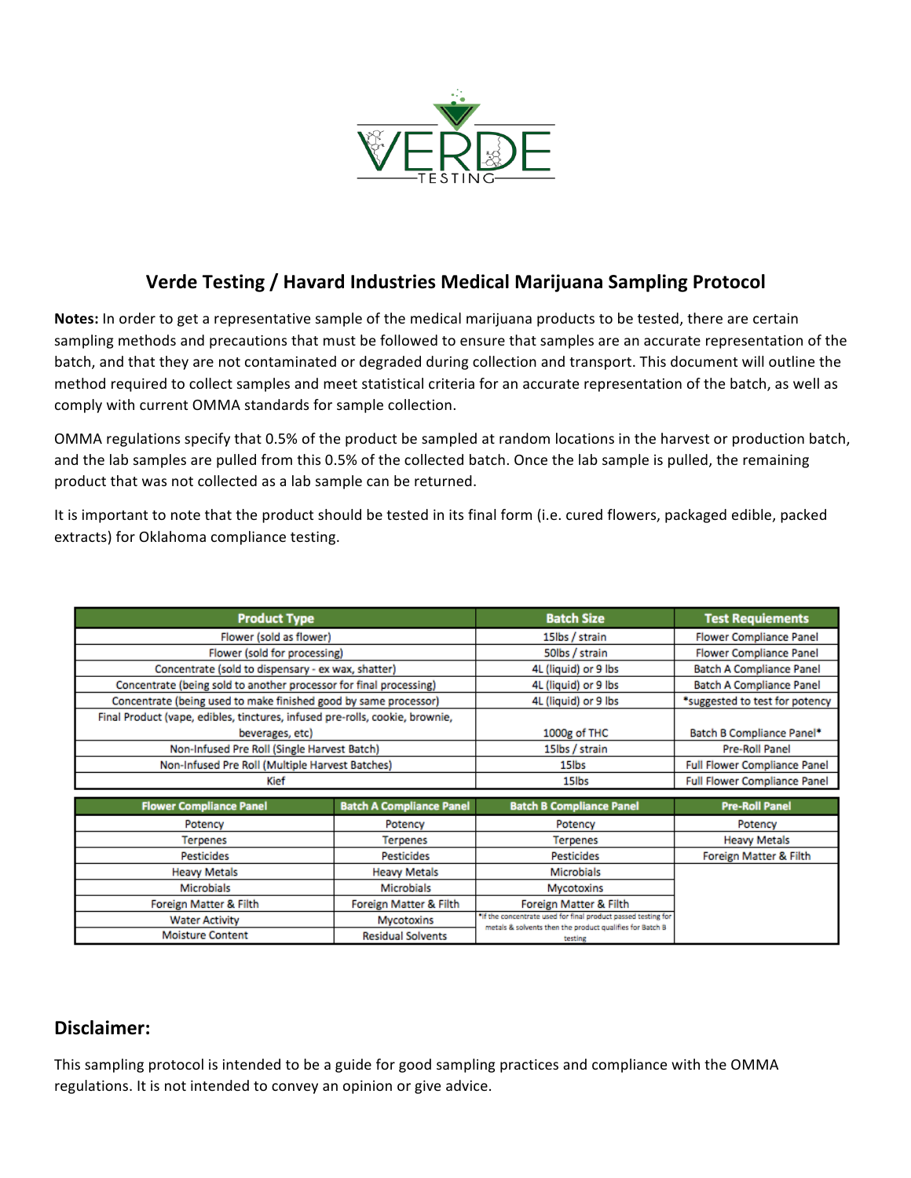

## **Verde Testing / Havard Industries Medical Marijuana Sampling Protocol**

Notes: In order to get a representative sample of the medical marijuana products to be tested, there are certain sampling methods and precautions that must be followed to ensure that samples are an accurate representation of the batch, and that they are not contaminated or degraded during collection and transport. This document will outline the method required to collect samples and meet statistical criteria for an accurate representation of the batch, as well as comply with current OMMA standards for sample collection.

OMMA regulations specify that 0.5% of the product be sampled at random locations in the harvest or production batch, and the lab samples are pulled from this 0.5% of the collected batch. Once the lab sample is pulled, the remaining product that was not collected as a lab sample can be returned.

It is important to note that the product should be tested in its final form (i.e. cured flowers, packaged edible, packed extracts) for Oklahoma compliance testing.

| <b>Product Type</b>                                                          |                                 | <b>Batch Size</b>                                                                                                         | <b>Test Requiements</b>             |
|------------------------------------------------------------------------------|---------------------------------|---------------------------------------------------------------------------------------------------------------------------|-------------------------------------|
| Flower (sold as flower)                                                      |                                 | 15lbs / strain                                                                                                            | <b>Flower Compliance Panel</b>      |
| Flower (sold for processing)                                                 |                                 | 50lbs / strain                                                                                                            | <b>Flower Compliance Panel</b>      |
| Concentrate (sold to dispensary - ex wax, shatter)                           |                                 | 4L (liquid) or 9 lbs                                                                                                      | <b>Batch A Compliance Panel</b>     |
| Concentrate (being sold to another processor for final processing)           |                                 | 4L (liquid) or 9 lbs                                                                                                      | <b>Batch A Compliance Panel</b>     |
| Concentrate (being used to make finished good by same processor)             |                                 | 4L (liquid) or 9 lbs                                                                                                      | *suggested to test for potency      |
| Final Product (vape, edibles, tinctures, infused pre-rolls, cookie, brownie, |                                 |                                                                                                                           |                                     |
| beverages, etc)                                                              |                                 | 1000g of THC                                                                                                              | Batch B Compliance Panel*           |
| Non-Infused Pre Roll (Single Harvest Batch)                                  |                                 | 15lbs / strain                                                                                                            | Pre-Roll Panel                      |
| Non-Infused Pre Roll (Multiple Harvest Batches)                              |                                 | 15 <sub>lbs</sub>                                                                                                         | <b>Full Flower Compliance Panel</b> |
| Kief                                                                         |                                 | 15 <sub>lbs</sub>                                                                                                         | <b>Full Flower Compliance Panel</b> |
|                                                                              |                                 |                                                                                                                           |                                     |
| <b>Flower Compliance Panel</b>                                               | <b>Batch A Compliance Panel</b> | <b>Batch B Compliance Panel</b>                                                                                           | <b>Pre-Roll Panel</b>               |
| Potency                                                                      | Potency                         | Potency                                                                                                                   | Potency                             |
| Terpenes                                                                     | <b>Terpenes</b>                 | <b>Terpenes</b>                                                                                                           | <b>Heavy Metals</b>                 |
| <b>Pesticides</b>                                                            | <b>Pesticides</b>               | <b>Pesticides</b>                                                                                                         | Foreign Matter & Filth              |
| <b>Heavy Metals</b>                                                          | <b>Heavy Metals</b>             | <b>Microbials</b>                                                                                                         |                                     |
| <b>Microbials</b>                                                            | Microbials                      | Mycotoxins                                                                                                                |                                     |
| Foreign Matter & Filth                                                       | Foreign Matter & Filth          | Foreign Matter & Filth                                                                                                    |                                     |
| <b>Water Activity</b>                                                        | Mycotoxins                      | "If the concentrate used for final product passed testing for<br>metals & solvents then the product qualifies for Batch B |                                     |
| <b>Moisture Content</b>                                                      | <b>Residual Solvents</b>        | testing                                                                                                                   |                                     |

#### Disclaimer:

This sampling protocol is intended to be a guide for good sampling practices and compliance with the OMMA regulations. It is not intended to convey an opinion or give advice.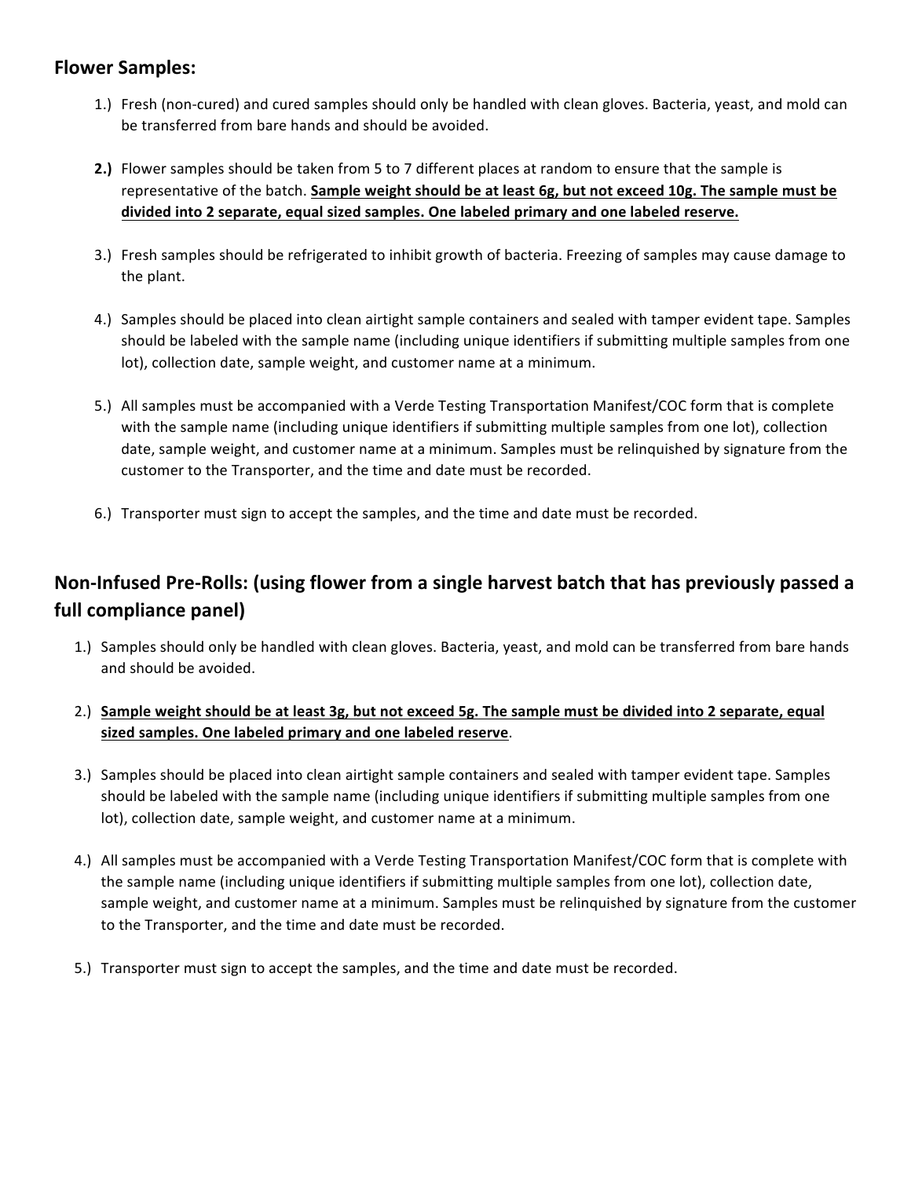# **Flower Samples:**

- 1.) Fresh (non-cured) and cured samples should only be handled with clean gloves. Bacteria, yeast, and mold can be transferred from bare hands and should be avoided.
- **2.)** Flower samples should be taken from 5 to 7 different places at random to ensure that the sample is representative of the batch. Sample weight should be at least 6g, but not exceed 10g. The sample must be divided into 2 separate, equal sized samples. One labeled primary and one labeled reserve.
- 3.) Fresh samples should be refrigerated to inhibit growth of bacteria. Freezing of samples may cause damage to the plant.
- 4.) Samples should be placed into clean airtight sample containers and sealed with tamper evident tape. Samples should be labeled with the sample name (including unique identifiers if submitting multiple samples from one lot), collection date, sample weight, and customer name at a minimum.
- 5.) All samples must be accompanied with a Verde Testing Transportation Manifest/COC form that is complete with the sample name (including unique identifiers if submitting multiple samples from one lot), collection date, sample weight, and customer name at a minimum. Samples must be relinquished by signature from the customer to the Transporter, and the time and date must be recorded.
- 6.) Transporter must sign to accept the samples, and the time and date must be recorded.

# Non-Infused Pre-Rolls: (using flower from a single harvest batch that has previously passed a full compliance panel)

- 1.) Samples should only be handled with clean gloves. Bacteria, yeast, and mold can be transferred from bare hands and should be avoided.
- 2.) Sample weight should be at least 3g, but not exceed 5g. The sample must be divided into 2 separate, equal sized samples. One labeled primary and one labeled reserve.
- 3.) Samples should be placed into clean airtight sample containers and sealed with tamper evident tape. Samples should be labeled with the sample name (including unique identifiers if submitting multiple samples from one lot), collection date, sample weight, and customer name at a minimum.
- 4.) All samples must be accompanied with a Verde Testing Transportation Manifest/COC form that is complete with the sample name (including unique identifiers if submitting multiple samples from one lot), collection date, sample weight, and customer name at a minimum. Samples must be relinquished by signature from the customer to the Transporter, and the time and date must be recorded.
- 5.) Transporter must sign to accept the samples, and the time and date must be recorded.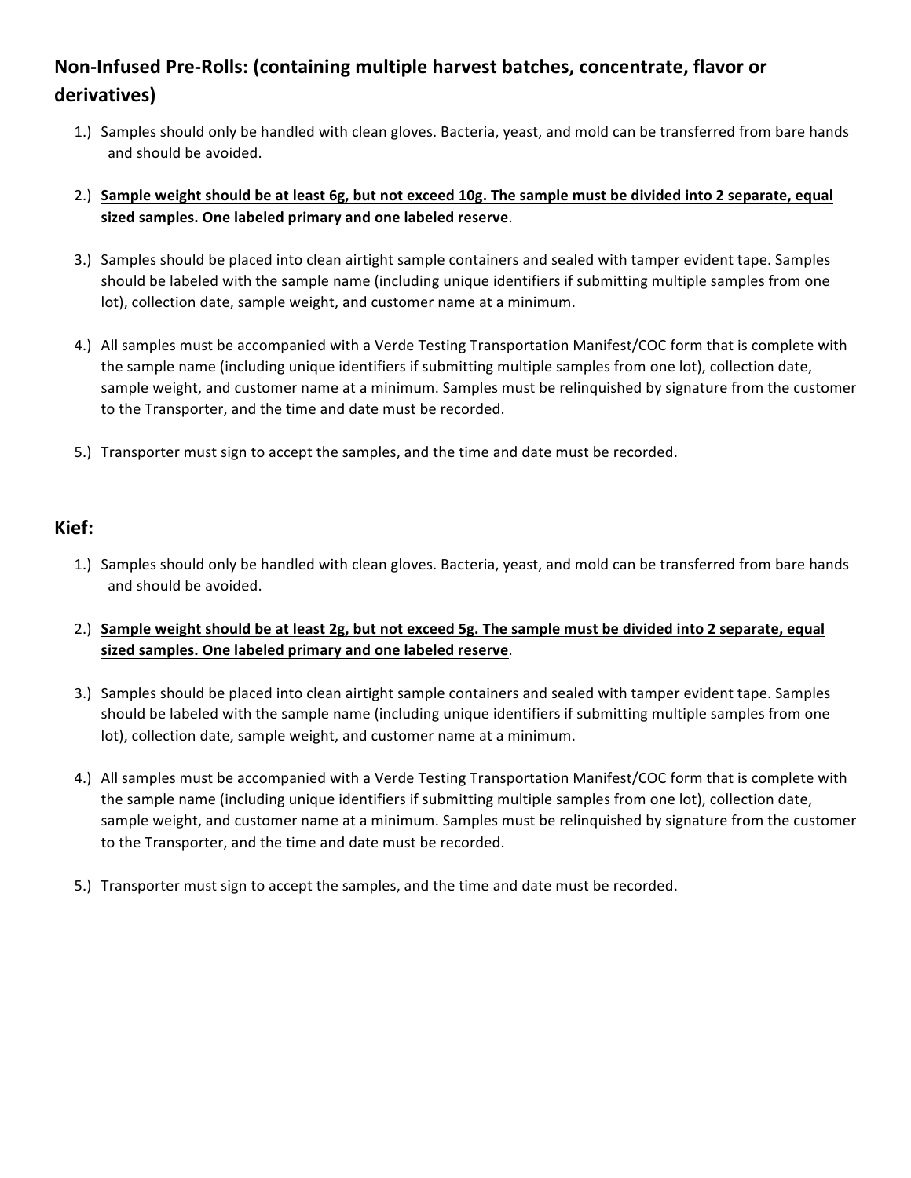# Non-Infused Pre-Rolls: (containing multiple harvest batches, concentrate, flavor or **derivatives)**

1.) Samples should only be handled with clean gloves. Bacteria, yeast, and mold can be transferred from bare hands and should be avoided.

#### 2.) Sample weight should be at least 6g, but not exceed 10g. The sample must be divided into 2 separate, equal sized samples. One labeled primary and one labeled reserve.

- 3.) Samples should be placed into clean airtight sample containers and sealed with tamper evident tape. Samples should be labeled with the sample name (including unique identifiers if submitting multiple samples from one lot), collection date, sample weight, and customer name at a minimum.
- 4.) All samples must be accompanied with a Verde Testing Transportation Manifest/COC form that is complete with the sample name (including unique identifiers if submitting multiple samples from one lot), collection date, sample weight, and customer name at a minimum. Samples must be relinquished by signature from the customer to the Transporter, and the time and date must be recorded.
- 5.) Transporter must sign to accept the samples, and the time and date must be recorded.

### **Kief:**

- 1.) Samples should only be handled with clean gloves. Bacteria, yeast, and mold can be transferred from bare hands and should be avoided.
- 2.) Sample weight should be at least 2g, but not exceed 5g. The sample must be divided into 2 separate, equal sized samples. One labeled primary and one labeled reserve.
- 3.) Samples should be placed into clean airtight sample containers and sealed with tamper evident tape. Samples should be labeled with the sample name (including unique identifiers if submitting multiple samples from one lot), collection date, sample weight, and customer name at a minimum.
- 4.) All samples must be accompanied with a Verde Testing Transportation Manifest/COC form that is complete with the sample name (including unique identifiers if submitting multiple samples from one lot), collection date, sample weight, and customer name at a minimum. Samples must be relinquished by signature from the customer to the Transporter, and the time and date must be recorded.
- 5.) Transporter must sign to accept the samples, and the time and date must be recorded.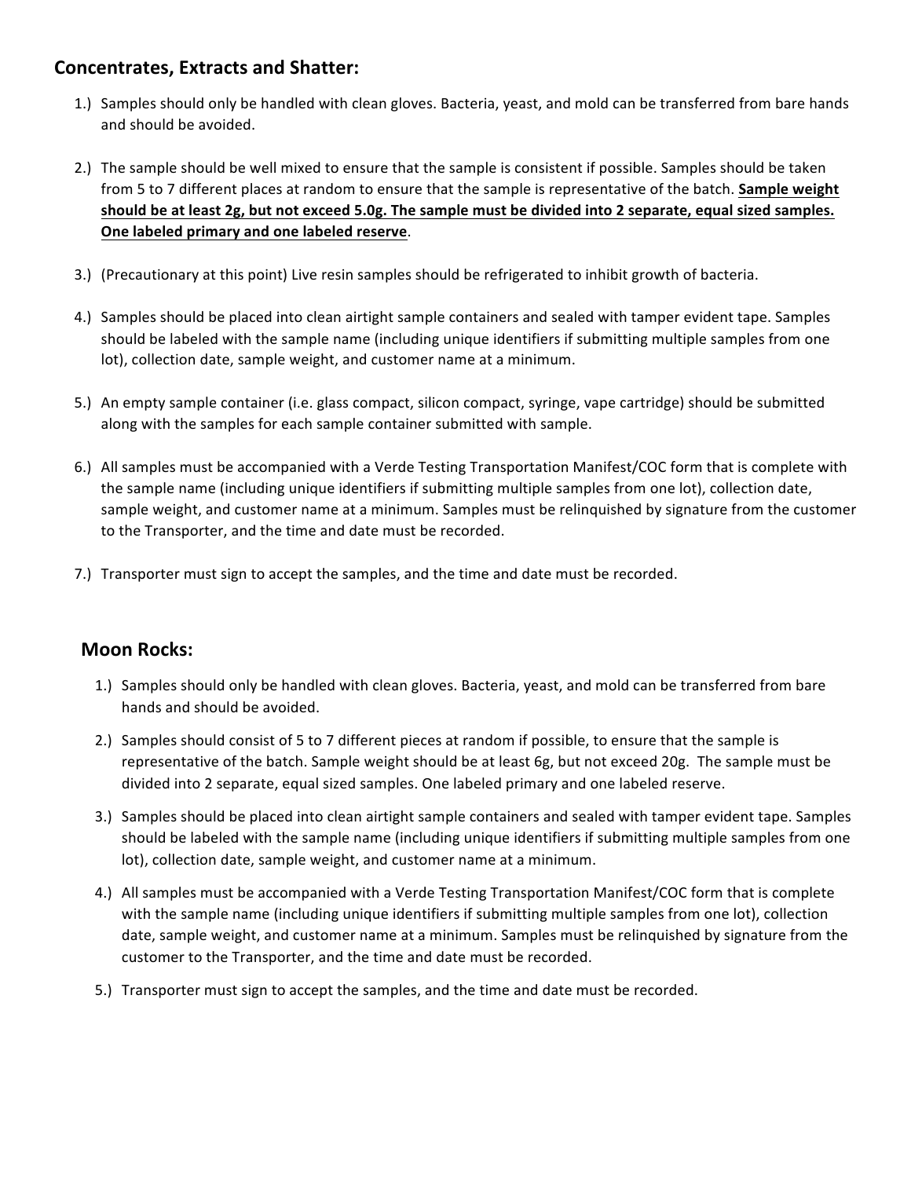### **Concentrates, Extracts and Shatter:**

- 1.) Samples should only be handled with clean gloves. Bacteria, yeast, and mold can be transferred from bare hands and should be avoided.
- 2.) The sample should be well mixed to ensure that the sample is consistent if possible. Samples should be taken from 5 to 7 different places at random to ensure that the sample is representative of the batch. **Sample weight** should be at least 2g, but not exceed 5.0g. The sample must be divided into 2 separate, equal sized samples. **One labeled primary and one labeled reserve.**
- 3.) (Precautionary at this point) Live resin samples should be refrigerated to inhibit growth of bacteria.
- 4.) Samples should be placed into clean airtight sample containers and sealed with tamper evident tape. Samples should be labeled with the sample name (including unique identifiers if submitting multiple samples from one lot), collection date, sample weight, and customer name at a minimum.
- 5.) An empty sample container (i.e. glass compact, silicon compact, syringe, vape cartridge) should be submitted along with the samples for each sample container submitted with sample.
- 6.) All samples must be accompanied with a Verde Testing Transportation Manifest/COC form that is complete with the sample name (including unique identifiers if submitting multiple samples from one lot), collection date, sample weight, and customer name at a minimum. Samples must be relinquished by signature from the customer to the Transporter, and the time and date must be recorded.
- 7.) Transporter must sign to accept the samples, and the time and date must be recorded.

# **Moon Rocks:**

- 1.) Samples should only be handled with clean gloves. Bacteria, yeast, and mold can be transferred from bare hands and should be avoided.
- 2.) Samples should consist of 5 to 7 different pieces at random if possible, to ensure that the sample is representative of the batch. Sample weight should be at least 6g, but not exceed 20g. The sample must be divided into 2 separate, equal sized samples. One labeled primary and one labeled reserve.
- 3.) Samples should be placed into clean airtight sample containers and sealed with tamper evident tape. Samples should be labeled with the sample name (including unique identifiers if submitting multiple samples from one lot), collection date, sample weight, and customer name at a minimum.
- 4.) All samples must be accompanied with a Verde Testing Transportation Manifest/COC form that is complete with the sample name (including unique identifiers if submitting multiple samples from one lot), collection date, sample weight, and customer name at a minimum. Samples must be relinquished by signature from the customer to the Transporter, and the time and date must be recorded.
- 5.) Transporter must sign to accept the samples, and the time and date must be recorded.